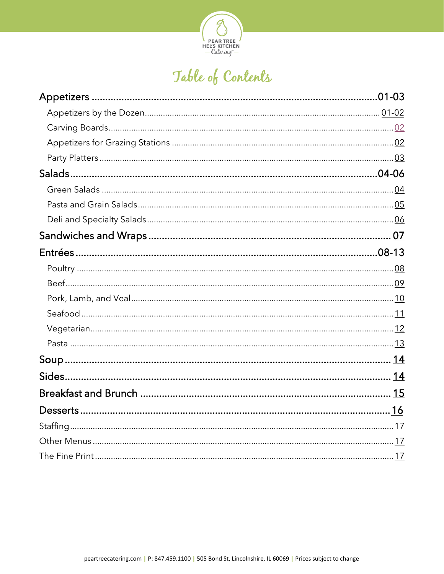

# Table of Contents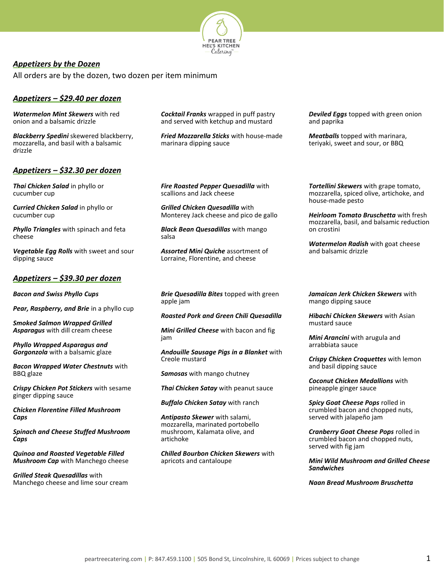

# <span id="page-1-0"></span>*Appetizers by the Dozen*

All orders are by the dozen, two dozen per item minimum

# *Appetizers – \$29.40 per dozen*

*Watermelon Mint Skewers* with red onion and a balsamic drizzle

*Blackberry Spedini* skewered blackberry, mozzarella, and basil with a balsamic drizzle

# *Appetizers – \$32.30 per dozen*

*Thai Chicken Salad* in phyllo or cucumber cup

*Curried Chicken Salad* in phyllo or cucumber cup

*Phyllo Triangles* with spinach and feta cheese

*Vegetable Egg Rolls* with sweet and sour dipping sauce

# *Appetizers – \$39.30 per dozen*

*Bacon and Swiss Phyllo Cups*

*Pear, Raspberry, and Brie* in a phyllo cup

*Smoked Salmon Wrapped Grilled Asparagus* with dill cream cheese

*Phyllo Wrapped Asparagus and Gorgonzola* with a balsamic glaze

*Bacon Wrapped Water Chestnuts* with BBQ glaze

*Crispy Chicken Pot Stickers* with sesame ginger dipping sauce

*Chicken Florentine Filled Mushroom Caps*

*Spinach and Cheese Stuffed Mushroom Caps*

*Quinoa and Roasted Vegetable Filled Mushroom Cap* with Manchego cheese

*Grilled Steak Quesadillas* with Manchego cheese and lime sour cream *Cocktail Franks* wrapped in puff pastry and served with ketchup and mustard

*Fried Mozzarella Sticks* with house-made marinara dipping sauce

*Deviled Eggs* topped with green onion and paprika

*Meatballs* topped with marinara, teriyaki, sweet and sour, or BBQ

*Fire Roasted Pepper Quesadilla* with scallions and Jack cheese

*Grilled Chicken Quesadilla* with Monterey Jack cheese and pico de gallo

*Black Bean Quesadillas* with mango salsa

*Assorted Mini Quiche* assortment of Lorraine, Florentine, and cheese

*Tortellini Skewers* with grape tomato, mozzarella, spiced olive, artichoke, and house-made pesto

*Heirloom Tomato Bruschetta* with fresh mozzarella, basil, and balsamic reduction on crostini

*Watermelon Radish* with goat cheese and balsamic drizzle

*Brie Quesadilla Bites* topped with green apple jam

*Roasted Pork and Green Chili Quesadilla*

*Mini Grilled Cheese* with bacon and fig jam

*Andouille Sausage Pigs in a Blanket* with Creole mustard

*Samosas* with mango chutney

*Thai Chicken Satay* with peanut sauce

*Buffalo Chicken Satay* with ranch

*Antipasto Skewer* with salami, mozzarella, marinated portobello mushroom, Kalamata olive, and artichoke

*Chilled Bourbon Chicken Skewers* with apricots and cantaloupe

*Jamaican Jerk Chicken Skewers* with mango dipping sauce

*Hibachi Chicken Skewers* with Asian mustard sauce

*Mini Arancini* with arugula and arrabbiata sauce

*Crispy Chicken Croquettes* with lemon and basil dipping sauce

*Coconut Chicken Medallions* with pineapple ginger sauce

*Spicy Goat Cheese Pops* rolled in crumbled bacon and chopped nuts, served with jalapeño jam

*Cranberry Goat Cheese Pops* rolled in crumbled bacon and chopped nuts, served with fig jam

*Mini Wild Mushroom and Grilled Cheese Sandwiches*

*Naan Bread Mushroom Bruschetta*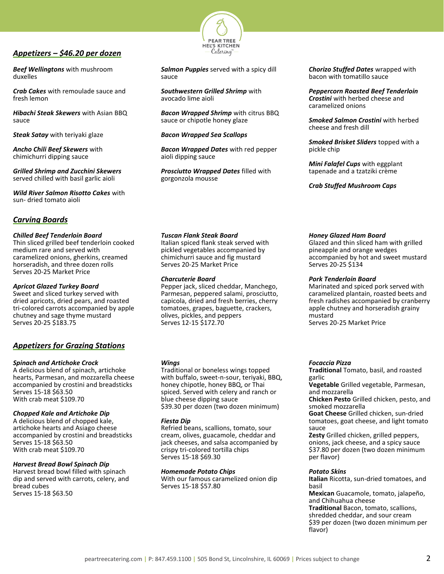# *Appetizers – \$46.20 per dozen*

*Beef Wellingtons* with mushroom duxelles

*Crab Cakes* with remoulade sauce and fresh lemon

*Hibachi Steak Skewers* with Asian BBQ sauce

*Steak Satay* with teriyaki glaze

*Ancho Chili Beef Skewers* with chimichurri dipping sauce

*Grilled Shrimp and Zucchini Skewers* served chilled with basil garlic aioli

*Wild River Salmon Risotto Cakes* with sun- dried tomato aioli

# <span id="page-2-0"></span>*Carving Boards*

#### *Chilled Beef Tenderloin Board*

Thin sliced grilled beef tenderloin cooked medium rare and served with caramelized onions, gherkins, creamed horseradish, and three dozen rolls Serves 20-25 Market Price

#### *Apricot Glazed Turkey Board*

Sweet and sliced turkey served with dried apricots, dried pears, and roasted tri-colored carrots accompanied by apple chutney and sage thyme mustard Serves 20-25 \$183.75

# <span id="page-2-1"></span>*Appetizers for Grazing Stations*

#### *Spinach and Artichoke Crock*

A delicious blend of spinach, artichoke hearts, Parmesan, and mozzarella cheese accompanied by crostini and breadsticks Serves 15-18 \$63.50 With crab meat \$109.70

#### *Chopped Kale and Artichoke Dip*

A delicious blend of chopped kale, artichoke hearts and Asiago cheese accompanied by crostini and breadsticks Serves 15-18 \$63.50 With crab meat \$109.70

#### *Harvest Bread Bowl Spinach Dip*

Harvest bread bowl filled with spinach dip and served with carrots, celery, and bread cubes Serves 15-18 \$63.50



*Salmon Puppies* served with a spicy dill sauce

*Southwestern Grilled Shrimp* with avocado lime aioli

*Bacon Wrapped Shrimp* with citrus BBQ sauce or chipotle honey glaze

*Bacon Wrapped Sea Scallops*

*Bacon Wrapped Dates* with red pepper aioli dipping sauce

*Prosciutto Wrapped Dates* filled with gorgonzola mousse

#### *Tuscan Flank Steak Board*

Italian spiced flank steak served with pickled vegetables accompanied by chimichurri sauce and fig mustard Serves 20-25 Market Price

#### *Charcuterie Board*

Pepper jack, sliced cheddar, Manchego, Parmesan, peppered salami, prosciutto, capicola, dried and fresh berries, cherry tomatoes, grapes, baguette, crackers, olives, pickles, and peppers Serves 12-15 \$172.70

#### *Wings*

Traditional or boneless wings topped with buffalo, sweet-n-sour, teriyaki, BBQ, honey chipotle, honey BBQ, or Thai spiced. Served with celery and ranch or blue cheese dipping sauce \$39.30 per dozen (two dozen minimum)

#### *Fiesta Dip*

Refried beans, scallions, tomato, sour cream, olives, guacamole, cheddar and jack cheeses, and salsa accompanied by crispy tri-colored tortilla chips Serves 15-18 \$69.30

#### *Homemade Potato Chips*

With our famous caramelized onion dip Serves 15-18 \$57.80

*Chorizo Stuffed Dates* wrapped with bacon with tomatillo sauce

*Peppercorn Roasted Beef Tenderloin Crostini* with herbed cheese and caramelized onions

*Smoked Salmon Crostini* with herbed cheese and fresh dill

*Smoked Brisket Sliders* topped with a pickle chip

*Mini Falafel Cups* with eggplant tapenade and a tzatziki crème

*Crab Stuffed Mushroom Caps*

#### *Honey Glazed Ham Board*

Glazed and thin sliced ham with grilled pineapple and orange wedges accompanied by hot and sweet mustard Serves 20-25 \$134

#### *Pork Tenderloin Board*

Marinated and spiced pork served with caramelized plantain, roasted beets and fresh radishes accompanied by cranberry apple chutney and horseradish grainy mustard Serves 20-25 Market Price

#### *Focaccia Pizza*

**Traditional** Tomato, basil, and roasted garlic

**Vegetable** Grilled vegetable, Parmesan, and mozzarella

**Chicken Pesto** Grilled chicken, pesto, and smoked mozzarella

**Goat Cheese** Grilled chicken, sun-dried tomatoes, goat cheese, and light tomato sauce

**Zesty** Grilled chicken, grilled peppers, onions, jack cheese, and a spicy sauce \$37.80 per dozen (two dozen minimum per flavor)

#### *Potato Skins*

**Italian** Ricotta, sun-dried tomatoes, and basil

**Mexican** Guacamole, tomato, jalapeño, and Chihuahua cheese

**Traditional** Bacon, tomato, scallions, shredded cheddar, and sour cream \$39 per dozen (two dozen minimum per flavor)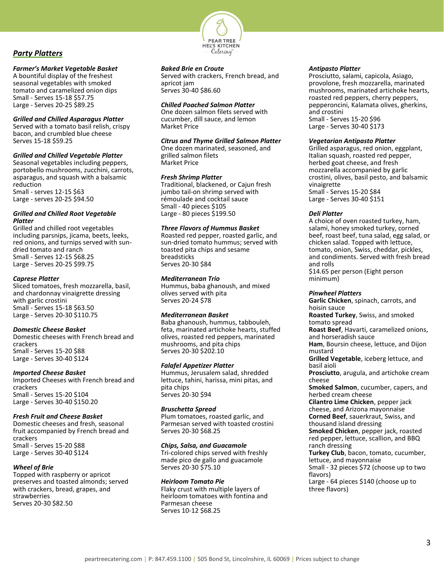

# <span id="page-3-0"></span>*Party Platters*

# *Farmer's Market Vegetable Basket*

A bountiful display of the freshest seasonal vegetables with smoked tomato and caramelized onion dips Small - Serves 15-18 \$57.75 Large - Serves 20-25 \$89.25

# *Grilled and Chilled Asparagus Platter*

Served with a tomato basil relish, crispy bacon, and crumbled blue cheese Serves 15-18 \$59.25

# *Grilled and Chilled Vegetable Platter*

Seasonal vegetables including peppers, portobello mushrooms, zucchini, carrots, asparagus, and squash with a balsamic reduction Small - serves 12-15 \$63 Large - serves 20-25 \$94.50

#### *Grilled and Chilled Root Vegetable Platter*

Grilled and chilled root vegetables including parsnips, jicama, beets, leeks, red onions, and turnips served with sundried tomato and ranch Small - Serves 12-15 \$68.25 Large - Serves 20-25 \$99.75

# *Caprese Platter*

Sliced tomatoes, fresh mozzarella, basil, and chardonnay vinaigrette dressing with garlic crostini Small - Serves 15-18 \$63.50 Large - Serves 20-30 \$110.75

# *Domestic Cheese Basket*

Domestic cheeses with French bread and crackers Small - Serves 15-20 \$88 Large - Serves 30-40 \$124

#### *Imported Cheese Basket*

Imported Cheeses with French bread and crackers Small - Serves 15-20 \$104 Large - Serves 30-40 \$150.20

# *Fresh Fruit and Cheese Basket*

Domestic cheeses and fresh, seasonal fruit accompanied by French bread and crackers Small - Serves 15-20 \$88 Large - Serves 30-40 \$124

# *Wheel of Brie*

Topped with raspberry or apricot preserves and toasted almonds; served with crackers, bread, grapes, and strawberries Serves 20-30 \$82.50

# *Baked Brie en Croute*

Served with crackers, French bread, and apricot jam Serves 30-40 \$86.60

# *Chilled Poached Salmon Platter*

One dozen salmon filets served with cucumber, dill sauce, and lemon Market Price

# *Citrus and Thyme Grilled Salmon Platter*

One dozen marinated, seasoned, and grilled salmon filets Market Price

# *Fresh Shrimp Platter*

Traditional, blackened, or Cajun fresh jumbo tail-on shrimp served with rémoulade and cocktail sauce Small - 40 pieces \$105 Large - 80 pieces \$199.50

# *Three Flavors of Hummus Basket*

Roasted red pepper, roasted garlic, and sun-dried tomato hummus; served with toasted pita chips and sesame breadsticks Serves 20-30 \$84

# *Mediterranean Trio*

Hummus, baba ghanoush, and mixed olives served with pita Serves 20-24 \$78

# *Mediterranean Basket*

Baba ghanoush, hummus, tabbouleh, feta, marinated artichoke hearts, stuffed olives, roasted red peppers, marinated mushrooms, and pita chips Serves 20-30 \$202.10

# *Falafel Appetizer Platter*

Hummus, Jerusalem salad, shredded lettuce, tahini, harissa, mini pitas, and pita chips Serves 20-30 \$94

# *Bruschetta Spread*

Plum tomatoes, roasted garlic, and Parmesan served with toasted crostini Serves 20-30 \$68.25

# *Chips, Salsa, and Guacamole*

Tri-colored chips served with freshly made pico de gallo and guacamole Serves 20-30 \$75.10

#### *Heirloom Tomato Pie*

Flaky crust with multiple layers of heirloom tomatoes with fontina and Parmesan cheese Serves 10-12 \$68.25

#### *Antipasto Platter*

Prosciutto, salami, capicola, Asiago, provolone, fresh mozzarella, marinated mushrooms, marinated artichoke hearts, roasted red peppers, cherry peppers, pepperoncini, Kalamata olives, gherkins, and crostini Small - Serves 15-20 \$96 Large - Serves 30-40 \$173

## *Vegetarian Antipasto Platter*

Grilled asparagus, red onion, eggplant, Italian squash, roasted red pepper, herbed goat cheese, and fresh mozzarella accompanied by garlic crostini, olives, basil pesto, and balsamic vinaigrette Small - Serves 15-20 \$84 Large - Serves 30-40 \$151

# *Deli Platter*

A choice of oven roasted turkey, ham, salami, honey smoked turkey, corned beef, roast beef, tuna salad, egg salad, or chicken salad. Topped with lettuce, tomato, onion, Swiss, cheddar, pickles, and condiments. Served with fresh bread and rolls \$14.65 per person (Eight person minimum)

# *Pinwheel Platters*

**Garlic Chicken**, spinach, carrots, and hoisin sauce **Roasted Turkey**, Swiss, and smoked tomato spread **Roast Beef**, Havarti, caramelized onions, and horseradish sauce **Ham**, Boursin cheese, lettuce, and Dijon mustard **Grilled Vegetable**, iceberg lettuce, and basil aioli **Prosciutto**, arugula, and artichoke cream cheese **Smoked Salmon**, cucumber, capers, and herbed cream cheese **Cilantro Lime Chicken**, pepper jack cheese, and Arizona mayonnaise **Corned Beef**, sauerkraut, Swiss, and thousand island dressing **Smoked Chicken**, pepper jack, roasted red pepper, lettuce, scallion, and BBQ ranch dressing **Turkey Club**, bacon, tomato, cucumber, lettuce, and mayonnaise Small - 32 pieces \$72 (choose up to two flavors) Large - 64 pieces \$140 (choose up to three flavors)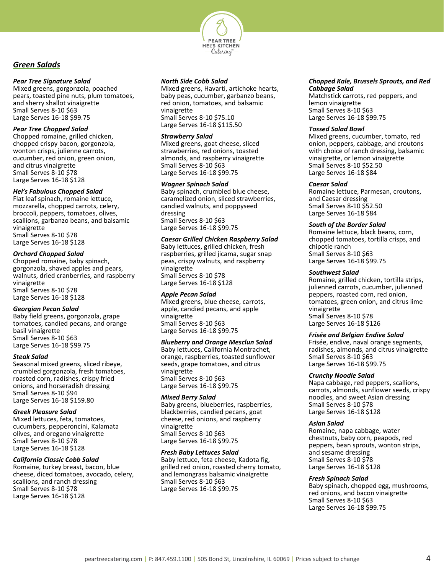

# <span id="page-4-0"></span>*Green Salads*

# *Pear Tree Signature Salad*

Mixed greens, gorgonzola, poached pears, toasted pine nuts, plum tomatoes, and sherry shallot vinaigrette Small Serves 8-10 \$63 Large Serves 16-18 \$99.75

# *Pear Tree Chopped Salad*

Chopped romaine, grilled chicken, chopped crispy bacon, gorgonzola, wonton crisps, julienne carrots, cucumber, red onion, green onion, and citrus vinaigrette Small Serves 8-10 \$78 Large Serves 16-18 \$128

# *Hel's Fabulous Chopped Salad*

Flat leaf spinach, romaine lettuce, mozzarella, chopped carrots, celery, broccoli, peppers, tomatoes, olives, scallions, garbanzo beans, and balsamic vinaigrette Small Serves 8-10 \$78 Large Serves 16-18 \$128

# *Orchard Chopped Salad*

Chopped romaine, baby spinach, gorgonzola, shaved apples and pears, walnuts, dried cranberries, and raspberry vinaigrette Small Serves 8-10 \$78 Large Serves 16-18 \$128

# *Georgian Pecan Salad*

Baby field greens, gorgonzola, grape tomatoes, candied pecans, and orange basil vinaigrette Small Serves 8-10 \$63 Large Serves 16-18 \$99.75

# *Steak Salad*

Seasonal mixed greens, sliced ribeye, crumbled gorgonzola, fresh tomatoes, roasted corn, radishes, crispy fried onions, and horseradish dressing Small Serves 8-10 \$94 Large Serves 16-18 \$159.80

# *Greek Pleasure Salad*

Mixed lettuces, feta, tomatoes, cucumbers, pepperoncini, Kalamata olives, and oregano vinaigrette Small Serves 8-10 \$78 Large Serves 16-18 \$128

# *California Classic Cobb Salad*

Romaine, turkey breast, bacon, blue cheese, diced tomatoes, avocado, celery, scallions, and ranch dressing Small Serves 8-10 \$78 Large Serves 16-18 \$128

# *North Side Cobb Salad*

Mixed greens, Havarti, artichoke hearts, baby peas, cucumber, garbanzo beans, red onion, tomatoes, and balsamic vinaigrette Small Serves 8-10 \$75.10 Large Serves 16-18 \$115.50

# *Strawberry Salad*

Mixed greens, goat cheese, sliced strawberries, red onions, toasted almonds, and raspberry vinaigrette Small Serves 8-10 \$63 Large Serves 16-18 \$99.75

# *Wagner Spinach Salad*

Baby spinach, crumbled blue cheese, caramelized onion, sliced strawberries, candied walnuts, and poppyseed dressing Small Serves 8-10 \$63 Large Serves 16-18 \$99.75

# *Caesar Grilled Chicken Raspberry Salad*

Baby lettuces, grilled chicken, fresh raspberries, grilled jicama, sugar snap peas, crispy walnuts, and raspberry vinaigrette Small Serves 8-10 \$78 Large Serves 16-18 \$128

# *Apple Pecan Salad*

Mixed greens, blue cheese, carrots, apple, candied pecans, and apple vinaigrette Small Serves 8-10 \$63 Large Serves 16-18 \$99.75

# *Blueberry and Orange Mesclun Salad*

Baby lettuces, California Montrachet, orange, raspberries, toasted sunflower seeds, grape tomatoes, and citrus vinaigrette Small Serves 8-10 \$63 Large Serves 16-18 \$99.75

# *Mixed Berry Salad*

Baby greens, blueberries, raspberries, blackberries, candied pecans, goat cheese, red onions, and raspberry vinaigrette Small Serves 8-10 \$63 Large Serves 16-18 \$99.75

# *Fresh Baby Lettuces Salad*

Baby lettuce, feta cheese, Kadota fig, grilled red onion, roasted cherry tomato, and lemongrass balsamic vinaigrette Small Serves 8-10 \$63 Large Serves 16-18 \$99.75

#### *Chopped Kale, Brussels Sprouts, and Red Cabbage Salad*

Matchstick carrots, red peppers, and lemon vinaigrette Small Serves 8-10 \$63 Large Serves 16-18 \$99.75

#### *Tossed Salad Bowl*

Mixed greens, cucumber, tomato, red onion, peppers, cabbage, and croutons with choice of ranch dressing, balsamic vinaigrette, or lemon vinaigrette Small Serves 8-10 \$52.50 Large Serves 16-18 \$84

# *Caesar Salad*

Romaine lettuce, Parmesan, croutons, and Caesar dressing Small Serves 8-10 \$52.50 Large Serves 16-18 \$84

# *South of the Border Salad*

Romaine lettuce, black beans, corn, chopped tomatoes, tortilla crisps, and chipotle ranch Small Serves 8-10 \$63 Large Serves 16-18 \$99.75

# *Southwest Salad*

Romaine, grilled chicken, tortilla strips, julienned carrots, cucumber, julienned peppers, roasted corn, red onion, tomatoes, green onion, and citrus lime vinaigrette Small Serves 8-10 \$78 Large Serves 16-18 \$126

# *Frisée and Belgian Endive Salad*

Frisée, endive, naval orange segments, radishes, almonds, and citrus vinaigrette Small Serves 8-10 \$63 Large Serves 16-18 \$99.75

# *Crunchy Noodle Salad*

Napa cabbage, red peppers, scallions, carrots, almonds, sunflower seeds, crispy noodles, and sweet Asian dressing Small Serves 8-10 \$78 Large Serves 16-18 \$128

# *Asian Salad*

Romaine, napa cabbage, water chestnuts, baby corn, peapods, red peppers, bean sprouts, wonton strips, and sesame dressing Small Serves 8-10 \$78 Large Serves 16-18 \$128

# *Fresh Spinach Salad*

Baby spinach, chopped egg, mushrooms, red onions, and bacon vinaigrette Small Serves 8-10 \$63 Large Serves 16-18 \$99.75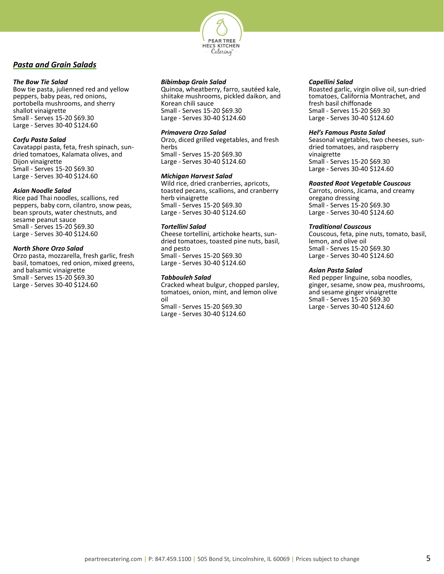

# <span id="page-5-0"></span>*Pasta and Grain Salads*

# *The Bow Tie Salad*

Bow tie pasta, julienned red and yellow peppers, baby peas, red onions, portobella mushrooms, and sherry shallot vinaigrette Small - Serves 15-20 \$69.30 Large - Serves 30-40 \$124.60

## *Corfu Pasta Salad*

Cavatappi pasta, feta, fresh spinach, sundried tomatoes, Kalamata olives, and Dijon vinaigrette Small - Serves 15-20 \$69.30 Large - Serves 30-40 \$124.60

#### *Asian Noodle Salad*

Rice pad Thai noodles, scallions, red peppers, baby corn, cilantro, snow peas, bean sprouts, water chestnuts, and sesame peanut sauce Small - Serves 15-20 \$69.30 Large - Serves 30-40 \$124.60

# *North Shore Orzo Salad*

Orzo pasta, mozzarella, fresh garlic, fresh basil, tomatoes, red onion, mixed greens, and balsamic vinaigrette Small - Serves 15-20 \$69.30 Large - Serves 30-40 \$124.60

# *Bibimbap Grain Salad*

Quinoa, wheatberry, farro, sautéed kale, shiitake mushrooms, pickled daikon, and Korean chili sauce Small - Serves 15-20 \$69.30 Large - Serves 30-40 \$124.60

# *Primavera Orzo Salad*

Orzo, diced grilled vegetables, and fresh herbs Small - Serves 15-20 \$69.30 Large - Serves 30-40 \$124.60

# *Michigan Harvest Salad*

Wild rice, dried cranberries, apricots, toasted pecans, scallions, and cranberry herb vinaigrette Small - Serves 15-20 \$69.30 Large - Serves 30-40 \$124.60

# *Tortellini Salad*

Cheese tortellini, artichoke hearts, sundried tomatoes, toasted pine nuts, basil, and pesto

Small - Serves 15-20 \$69.30 Large - Serves 30-40 \$124.60

# *Tabbouleh Salad*

Cracked wheat bulgur, chopped parsley, tomatoes, onion, mint, and lemon olive oil Small - Serves 15-20 \$69.30 Large - Serves 30-40 \$124.60

# *Capellini Salad*

Roasted garlic, virgin olive oil, sun-dried tomatoes, California Montrachet, and fresh basil chiffonade Small - Serves 15-20 \$69.30 Large - Serves 30-40 \$124.60

## *Hel's Famous Pasta Salad*

Seasonal vegetables, two cheeses, sundried tomatoes, and raspberry vinaigrette Small - Serves 15-20 \$69.30 Large - Serves 30-40 \$124.60

# *Roasted Root Vegetable Couscous*

Carrots, onions, Jicama, and creamy oregano dressing Small - Serves 15-20 \$69.30 Large - Serves 30-40 \$124.60

#### *Traditional Couscous*

Couscous, feta, pine nuts, tomato, basil, lemon, and olive oil Small - Serves 15-20 \$69.30 Large - Serves 30-40 \$124.60

# *Asian Pasta Salad*

Red pepper linguine, soba noodles, ginger, sesame, snow pea, mushrooms, and sesame ginger vinaigrette Small - Serves 15-20 \$69.30 Large - Serves 30-40 \$124.60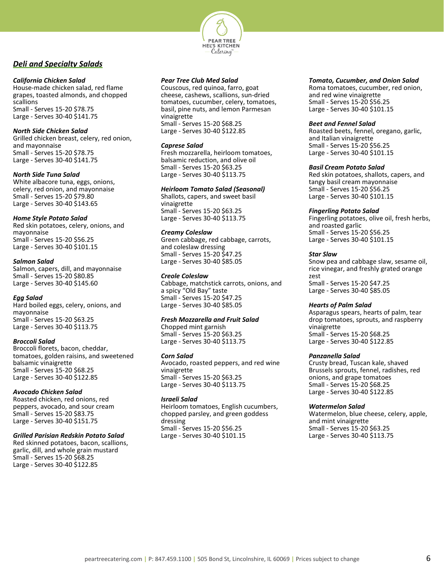

# <span id="page-6-0"></span>*Deli and Specialty Salads*

# *California Chicken Salad*

House-made chicken salad, red flame grapes, toasted almonds, and chopped scallions Small - Serves 15-20 \$78.75 Large - Serves 30-40 \$141.75

# *North Side Chicken Salad*

Grilled chicken breast, celery, red onion, and mayonnaise Small - Serves 15-20 \$78.75 Large - Serves 30-40 \$141.75

# *North Side Tuna Salad*

White albacore tuna, eggs, onions, celery, red onion, and mayonnaise Small - Serves 15-20 \$79.80 Large - Serves 30-40 \$143.65

# *Home Style Potato Salad*

Red skin potatoes, celery, onions, and mayonnaise Small - Serves 15-20 \$56.25 Large - Serves 30-40 \$101.15

# *Salmon Salad*

Salmon, capers, dill, and mayonnaise Small - Serves 15-20 \$80.85 Large - Serves 30-40 \$145.60

# *Egg Salad*

Hard boiled eggs, celery, onions, and mayonnaise Small - Serves 15-20 \$63.25 Large - Serves 30-40 \$113.75

# *Broccoli Salad*

Broccoli florets, bacon, cheddar, tomatoes, golden raisins, and sweetened balsamic vinaigrette Small - Serves 15-20 \$68.25 Large - Serves 30-40 \$122.85

#### *Avocado Chicken Salad*

Roasted chicken, red onions, red peppers, avocado, and sour cream Small - Serves 15-20 \$83.75 Large - Serves 30-40 \$151.75

# *Grilled Parisian Redskin Potato Salad*

Red skinned potatoes, bacon, scallions, garlic, dill, and whole grain mustard Small - Serves 15-20 \$68.25 Large - Serves 30-40 \$122.85

# *Pear Tree Club Med Salad*

Couscous, red quinoa, farro, goat cheese, cashews, scallions, sun-dried tomatoes, cucumber, celery, tomatoes, basil, pine nuts, and lemon Parmesan vinaigrette Small - Serves 15-20 \$68.25 Large - Serves 30-40 \$122.85

## *Caprese Salad*

Fresh mozzarella, heirloom tomatoes, balsamic reduction, and olive oil Small - Serves 15-20 \$63.25 Large - Serves 30-40 \$113.75

# *Heirloom Tomato Salad (Seasonal)*

Shallots, capers, and sweet basil vinaigrette Small - Serves 15-20 \$63.25 Large - Serves 30-40 \$113.75

# *Creamy Coleslaw*

Green cabbage, red cabbage, carrots, and coleslaw dressing Small - Serves 15-20 \$47.25 Large - Serves 30-40 \$85.05

# *Creole Coleslaw*

Cabbage, matchstick carrots, onions, and a spicy "Old Bay" taste Small - Serves 15-20 \$47.25 Large - Serves 30-40 \$85.05

# *Fresh Mozzarella and Fruit Salad*

Chopped mint garnish Small - Serves 15-20 \$63.25 Large - Serves 30-40 \$113.75

#### *Corn Salad*

Avocado, roasted peppers, and red wine vinaigrette Small - Serves 15-20 \$63.25 Large - Serves 30-40 \$113.75

# *Israeli Salad*

Heirloom tomatoes, English cucumbers, chopped parsley, and green goddess dressing Small - Serves 15-20 \$56.25 Large - Serves 30-40 \$101.15

# *Tomato, Cucumber, and Onion Salad*

Roma tomatoes, cucumber, red onion, and red wine vinaigrette Small - Serves 15-20 \$56.25 Large - Serves 30-40 \$101.15

# *Beet and Fennel Salad*

Roasted beets, fennel, oregano, garlic, and Italian vinaigrette Small - Serves 15-20 \$56.25 Large - Serves 30-40 \$101.15

# *Basil Cream Potato Salad*

Red skin potatoes, shallots, capers, and tangy basil cream mayonnaise Small - Serves 15-20 \$56.25 Large - Serves 30-40 \$101.15

# *Fingerling Potato Salad*

Fingerling potatoes, olive oil, fresh herbs, and roasted garlic Small - Serves 15-20 \$56.25 Large - Serves 30-40 \$101.15

# *Star Slaw*

Snow pea and cabbage slaw, sesame oil, rice vinegar, and freshly grated orange zest Small - Serves 15-20 \$47.25 Large - Serves 30-40 \$85.05

# *Hearts of Palm Salad*

Asparagus spears, hearts of palm, tear drop tomatoes, sprouts, and raspberry vinaigrette Small - Serves 15-20 \$68.25 Large - Serves 30-40 \$122.85

#### *Panzanella Salad*

Crusty bread, Tuscan kale, shaved Brussels sprouts, fennel, radishes, red onions, and grape tomatoes Small - Serves 15-20 \$68.25 Large - Serves 30-40 \$122.85

# *Watermelon Salad*

Watermelon, blue cheese, celery, apple, and mint vinaigrette Small - Serves 15-20 \$63.25 Large - Serves 30-40 \$113.75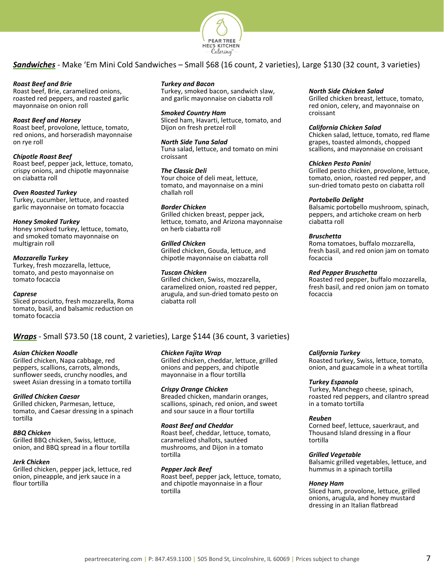

<span id="page-7-0"></span>*Sandwiches* - Make 'Em Mini Cold Sandwiches – Small \$68 (16 count, 2 varieties), Large \$130 (32 count, 3 varieties)

# *Roast Beef and Brie*

Roast beef, Brie, caramelized onions, roasted red peppers, and roasted garlic mayonnaise on onion roll

# *Roast Beef and Horsey*

Roast beef, provolone, lettuce, tomato, red onions, and horseradish mayonnaise on rye roll

# *Chipotle Roast Beef*

Roast beef, pepper jack, lettuce, tomato, crispy onions, and chipotle mayonnaise on ciabatta roll

#### *Oven Roasted Turkey*

Turkey, cucumber, lettuce, and roasted garlic mayonnaise on tomato focaccia

#### *Honey Smoked Turkey*

Honey smoked turkey, lettuce, tomato, and smoked tomato mayonnaise on multigrain roll

#### *Mozzarella Turkey*

Turkey, fresh mozzarella, lettuce, tomato, and pesto mayonnaise on tomato focaccia

#### *Caprese*

Sliced prosciutto, fresh mozzarella, Roma tomato, basil, and balsamic reduction on tomato focaccia

# *Turkey and Bacon*

Turkey, smoked bacon, sandwich slaw, and garlic mayonnaise on ciabatta roll

#### *Smoked Country Ham*

Sliced ham, Havarti, lettuce, tomato, and Dijon on fresh pretzel roll

# *North Side Tuna Salad*

Tuna salad, lettuce, and tomato on mini croissant

# *The Classic Deli*

Your choice of deli meat, lettuce, tomato, and mayonnaise on a mini challah roll

# *Border Chicken*

Grilled chicken breast, pepper jack, lettuce, tomato, and Arizona mayonnaise on herb ciabatta roll

# *Grilled Chicken*

Grilled chicken, Gouda, lettuce, and chipotle mayonnaise on ciabatta roll

# *Tuscan Chicken*

Grilled chicken, Swiss, mozzarella, caramelized onion, roasted red pepper, arugula, and sun-dried tomato pesto on ciabatta roll

# *Wraps* - Small \$73.50 (18 count, 2 varieties), Large \$144 (36 count, 3 varieties)

#### *Asian Chicken Noodle*

Grilled chicken, Napa cabbage, red peppers, scallions, carrots, almonds, sunflower seeds, crunchy noodles, and sweet Asian dressing in a tomato tortilla

#### *Grilled Chicken Caesar*

Grilled chicken, Parmesan, lettuce, tomato, and Caesar dressing in a spinach tortilla

#### *BBQ Chicken*

Grilled BBQ chicken, Swiss, lettuce, onion, and BBQ spread in a flour tortilla

#### *Jerk Chicken*

Grilled chicken, pepper jack, lettuce, red onion, pineapple, and jerk sauce in a flour tortilla

# *Chicken Fajita Wrap*

Grilled chicken, cheddar, lettuce, grilled onions and peppers, and chipotle mayonnaise in a flour tortilla

#### *Crispy Orange Chicken*

Breaded chicken, mandarin oranges, scallions, spinach, red onion, and sweet and sour sauce in a flour tortilla

# *Roast Beef and Cheddar*

Roast beef, cheddar, lettuce, tomato, caramelized shallots, sautéed mushrooms, and Dijon in a tomato tortilla

#### *Pepper Jack Beef*

Roast beef, pepper jack, lettuce, tomato, and chipotle mayonnaise in a flour tortilla

#### *North Side Chicken Salad*

Grilled chicken breast, lettuce, tomato, red onion, celery, and mayonnaise on croissant

#### *California Chicken Salad*

Chicken salad, lettuce, tomato, red flame grapes, toasted almonds, chopped scallions, and mayonnaise on croissant

#### *Chicken Pesto Panini*

Grilled pesto chicken, provolone, lettuce, tomato, onion, roasted red pepper, and sun-dried tomato pesto on ciabatta roll

#### *Portobello Delight*

Balsamic portobello mushroom, spinach, peppers, and artichoke cream on herb ciabatta roll

# *Bruschetta*

Roma tomatoes, buffalo mozzarella, fresh basil, and red onion jam on tomato focaccia

# *Red Pepper Bruschetta*

Roasted red pepper, buffalo mozzarella, fresh basil, and red onion jam on tomato focaccia

#### *California Turkey*

Roasted turkey, Swiss, lettuce, tomato, onion, and guacamole in a wheat tortilla

#### *Turkey Espanola*

Turkey, Manchego cheese, spinach, roasted red peppers, and cilantro spread in a tomato tortilla

#### *Reuben*

Corned beef, lettuce, sauerkraut, and Thousand Island dressing in a flour tortilla

#### *Grilled Vegetable*

Balsamic grilled vegetables, lettuce, and hummus in a spinach tortilla

#### *Honey Ham*

Sliced ham, provolone, lettuce, grilled onions, arugula, and honey mustard dressing in an Italian flatbread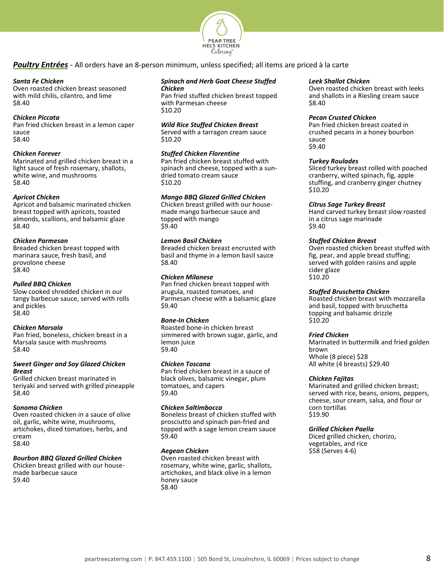

<span id="page-8-0"></span>*Poultry Entrées* - All orders have an 8-person minimum, unless specified; all items are priced à la carte

# *Santa Fe Chicken*

Oven roasted chicken breast seasoned with mild chilis, cilantro, and lime \$8.40

# *Chicken Piccata*

Pan fried chicken breast in a lemon caper sauce \$8.40

# *Chicken Forever*

Marinated and grilled chicken breast in a light sauce of fresh rosemary, shallots, white wine, and mushrooms \$8.40

# *Apricot Chicken*

Apricot and balsamic marinated chicken breast topped with apricots, toasted almonds, scallions, and balsamic glaze \$8.40

# *Chicken Parmesan*

Breaded chicken breast topped with marinara sauce, fresh basil, and provolone cheese \$8.40

# *Pulled BBQ Chicken*

Slow cooked shredded chicken in our tangy barbecue sauce, served with rolls and pickles \$8.40

# *Chicken Marsala*

Pan fried, boneless, chicken breast in a Marsala sauce with mushrooms \$8.40

# *Sweet Ginger and Soy Glazed Chicken Breast*

Grilled chicken breast marinated in teriyaki and served with grilled pineapple \$8.40

# *Sonoma Chicken*

Oven roasted chicken in a sauce of olive oil, garlic, white wine, mushrooms, artichokes, diced tomatoes, herbs, and cream \$8.40

# *Bourbon BBQ Glazed Grilled Chicken*

<span id="page-8-1"></span>Chicken breast grilled with our housemade barbecue sauce \$9.40

#### *Spinach and Herb Goat Cheese Stuffed Chicken*

Pan fried stuffed chicken breast topped with Parmesan cheese \$10.20

# *Wild Rice Stuffed Chicken Breast*

Served with a tarragon cream sauce \$10.20

# *Stuffed Chicken Florentine*

Pan fried chicken breast stuffed with spinach and cheese, topped with a sundried tomato cream sauce \$10.20

# *Mango BBQ Glazed Grilled Chicken*

Chicken breast grilled with our housemade mango barbecue sauce and topped with mango \$9.40

# *Lemon Basil Chicken*

Breaded chicken breast encrusted with basil and thyme in a lemon basil sauce \$8.40

# *Chicken Milanese*

Pan fried chicken breast topped with arugula, roasted tomatoes, and Parmesan cheese with a balsamic glaze \$9.40

# *Bone-In Chicken*

Roasted bone-in chicken breast simmered with brown sugar, garlic, and lemon juice \$9.40

# *Chicken Toscana*

Pan fried chicken breast in a sauce of black olives, balsamic vinegar, plum tomatoes, and capers \$9.40

# *Chicken Saltimbocca*

Boneless breast of chicken stuffed with prosciutto and spinach pan-fried and topped with a sage lemon cream sauce \$9.40

# *Aegean Chicken*

Oven roasted chicken breast with rosemary, white wine, garlic, shallots, artichokes, and black olive in a lemon honey sauce \$8.40

# *Leek Shallot Chicken*

Oven roasted chicken breast with leeks and shallots in a Riesling cream sauce \$8.40

# *Pecan Crusted Chicken*

Pan fried chicken breast coated in crushed pecans in a honey bourbon sauce \$9.40

#### *Turkey Roulades*

Sliced turkey breast rolled with poached cranberry, wilted spinach, fig, apple stuffing, and cranberry ginger chutney \$10.20

# *Citrus Sage Turkey Breast*

Hand carved turkey breast slow roasted in a citrus sage marinade \$9.40

# *Stuffed Chicken Breast*

Oven roasted chicken breast stuffed with fig, pear, and apple bread stuffing; served with golden raisins and apple cider glaze \$10.20

# *Stuffed Bruschetta Chicken*

Roasted chicken breast with mozzarella and basil, topped with bruschetta topping and balsamic drizzle \$10.20

# *Fried Chicken*

Marinated in buttermilk and fried golden brown Whole (8 piece) \$28 All white (4 breasts) \$29.40

# *Chicken Fajitas*

Marinated and grilled chicken breast; served with rice, beans, onions, peppers, cheese, sour cream, salsa, and flour or corn tortillas \$19.90

# *Grilled Chicken Paella*

Diced grilled chicken, chorizo, vegetables, and rice \$58 (Serves 4-6)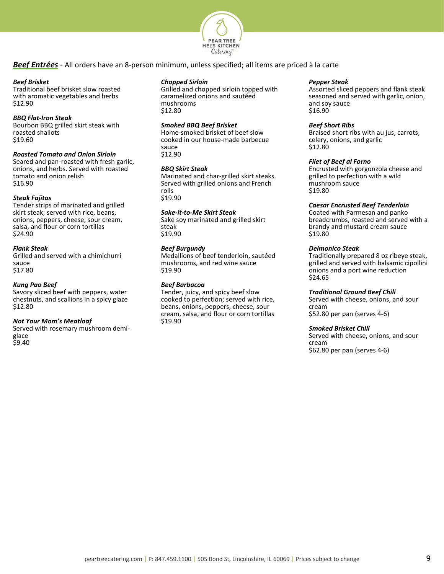

# *Beef Entrées* - All orders have an 8-person minimum, unless specified; all items are priced à la carte

#### *Beef Brisket*

Traditional beef brisket slow roasted with aromatic vegetables and herbs \$12.90

# *BBQ Flat-Iron Steak*

Bourbon BBQ grilled skirt steak with roasted shallots \$19.60

# *Roasted Tomato and Onion Sirloin*

Seared and pan-roasted with fresh garlic, onions, and herbs. Served with roasted tomato and onion relish \$16.90

# *Steak Fajitas*

Tender strips of marinated and grilled skirt steak; served with rice, beans, onions, peppers, cheese, sour cream, salsa, and flour or corn tortillas \$24.90

# *Flank Steak*

Grilled and served with a chimichurri sauce \$17.80

# *Kung Pao Beef*

Savory sliced beef with peppers, water chestnuts, and scallions in a spicy glaze \$12.80

#### *Not Your Mom's Meatloaf*

Served with rosemary mushroom demiglace \$9.40

# *Chopped Sirloin*

Grilled and chopped sirloin topped with caramelized onions and sautéed mushrooms \$12.80

# *Smoked BBQ Beef Brisket*

Home-smoked brisket of beef slow cooked in our house-made barbecue sauce \$12.90

# *BBQ Skirt Steak*

Marinated and char-grilled skirt steaks. Served with grilled onions and French rolls \$19.90

# *Sake-it-to-Me Skirt Steak*

Sake soy marinated and grilled skirt steak \$19.90

# *Beef Burgundy*

Medallions of beef tenderloin, sautéed mushrooms, and red wine sauce \$19.90

# *Beef Barbacoa*

Tender, juicy, and spicy beef slow cooked to perfection; served with rice, beans, onions, peppers, cheese, sour cream, salsa, and flour or corn tortillas \$19.90

#### *Pepper Steak*

Assorted sliced peppers and flank steak seasoned and served with garlic, onion, and soy sauce \$16.90

#### *Beef Short Ribs*

Braised short ribs with au jus, carrots, celery, onions, and garlic \$12.80

#### *Filet of Beef al Forno*

Encrusted with gorgonzola cheese and grilled to perfection with a wild mushroom sauce \$19.80

# *Caesar Encrusted Beef Tenderloin*

Coated with Parmesan and panko breadcrumbs, roasted and served with a brandy and mustard cream sauce \$19.80

## *Delmonico Steak*

Traditionally prepared 8 oz ribeye steak, grilled and served with balsamic cipollini onions and a port wine reduction \$24.65

# *Traditional Ground Beef Chili*

Served with cheese, onions, and sour cream \$52.80 per pan (serves 4-6)

# *Smoked Brisket Chili*

Served with cheese, onions, and sour cream \$62.80 per pan (serves 4-6)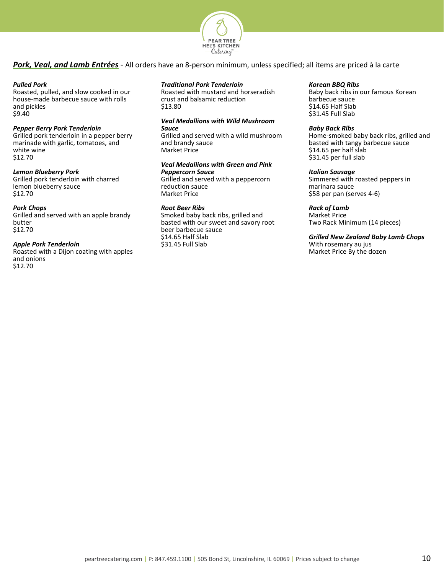

# <span id="page-10-0"></span>*Pork, Veal, and Lamb Entrées* - All orders have an 8-person minimum, unless specified; all items are priced à la carte

## *Pulled Pork*

Roasted, pulled, and slow cooked in our house-made barbecue sauce with rolls and pickles \$9.40

#### *Pepper Berry Pork Tenderloin*

Grilled pork tenderloin in a pepper berry marinade with garlic, tomatoes, and white wine \$12.70

# *Lemon Blueberry Pork*

Grilled pork tenderloin with charred lemon blueberry sauce \$12.70

# *Pork Chops*

Grilled and served with an apple brandy butter \$12.70

#### *Apple Pork Tenderloin*

Roasted with a Dijon coating with apples and onions \$12.70

# *Traditional Pork Tenderloin*

Roasted with mustard and horseradish crust and balsamic reduction \$13.80

## *Veal Medallions with Wild Mushroom Sauce*

Grilled and served with a wild mushroom and brandy sauce Market Price

# *Veal Medallions with Green and Pink Peppercorn Sauce*

Grilled and served with a peppercorn reduction sauce Market Price

# *Root Beer Ribs*

Smoked baby back ribs, grilled and basted with our sweet and savory root beer barbecue sauce \$14.65 Half Slab \$31.45 Full Slab

#### *Korean BBQ Ribs*

Baby back ribs in our famous Korean barbecue sauce \$14.65 Half Slab \$31.45 Full Slab

#### *Baby Back Ribs*

Home-smoked baby back ribs, grilled and basted with tangy barbecue sauce \$14.65 per half slab \$31.45 per full slab

#### *Italian Sausage*

Simmered with roasted peppers in marinara sauce \$58 per pan (serves 4-6)

# *Rack of Lamb*

Market Price Two Rack Minimum (14 pieces)

# *Grilled New Zealand Baby Lamb Chops*

With rosemary au jus Market Price By the dozen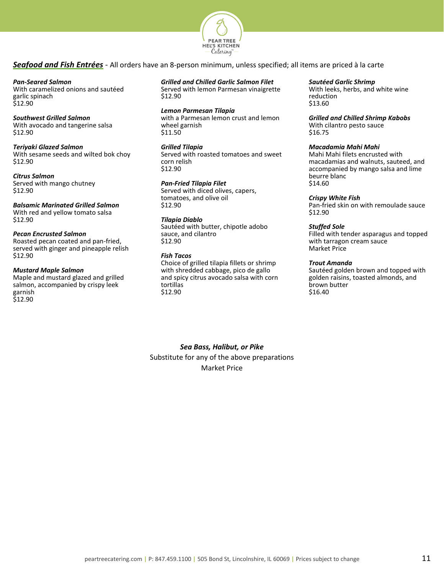

# <span id="page-11-0"></span>*Seafood and Fish Entrées* - All orders have an 8-person minimum, unless specified; all items are priced à la carte

#### *Pan-Seared Salmon*

With caramelized onions and sautéed garlic spinach \$12.90

# *Southwest Grilled Salmon*

With avocado and tangerine salsa \$12.90

#### *Teriyaki Glazed Salmon*

With sesame seeds and wilted bok choy \$12.90

#### *Citrus Salmon*

Served with mango chutney \$12.90

*Balsamic Marinated Grilled Salmon* With red and yellow tomato salsa \$12.90

#### *Pecan Encrusted Salmon*

Roasted pecan coated and pan-fried, served with ginger and pineapple relish \$12.90

# *Mustard Maple Salmon*

Maple and mustard glazed and grilled salmon, accompanied by crispy leek garnish \$12.90

# *Grilled and Chilled Garlic Salmon Filet*

Served with lemon Parmesan vinaigrette \$12.90

*Lemon Parmesan Tilapia* with a Parmesan lemon crust and lemon wheel garnish \$11.50

# *Grilled Tilapia*

Served with roasted tomatoes and sweet corn relish \$12.90

# *Pan-Fried Tilapia Filet*

Served with diced olives, capers, tomatoes, and olive oil \$12.90

# *Tilapia Diablo*

Sautéed with butter, chipotle adobo sauce, and cilantro \$12.90

# *Fish Tacos*

Choice of grilled tilapia fillets or shrimp with shredded cabbage, pico de gallo and spicy citrus avocado salsa with corn tortillas \$12.90

#### *Sautéed Garlic Shrimp*

With leeks, herbs, and white wine reduction \$13.60

*Grilled and Chilled Shrimp Kabobs* With cilantro pesto sauce \$16.75

# *Macadamia Mahi Mahi*

Mahi Mahi filets encrusted with macadamias and walnuts, sauteed, and accompanied by mango salsa and lime beurre blanc \$14.60

#### *Crispy White Fish*

Pan-fried skin on with remoulade sauce \$12.90

# *Stuffed Sole*

Filled with tender asparagus and topped with tarragon cream sauce Market Price

# *Trout Amanda*

Sautéed golden brown and topped with golden raisins, toasted almonds, and brown butter \$16.40

*Sea Bass, Halibut, or Pike* Substitute for any of the above preparations Market Price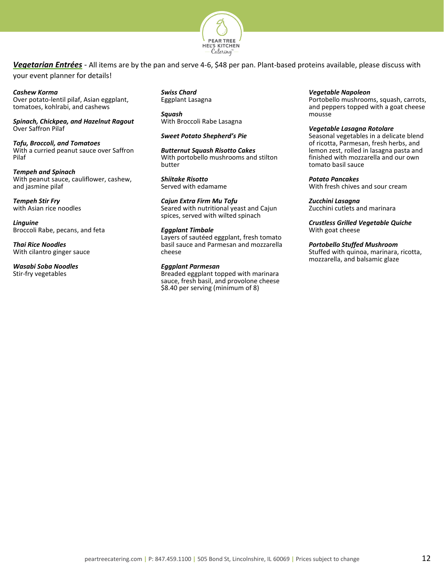

<span id="page-12-0"></span>*Vegetarian Entrées* - All items are by the pan and serve 4-6, \$48 per pan. Plant-based proteins available, please discuss with your event planner for details!

*Cashew Korma*

Over potato-lentil pilaf, Asian eggplant, tomatoes, kohlrabi, and cashews

*Spinach, Chickpea, and Hazelnut Ragout* Over Saffron Pilaf

*Tofu, Broccoli, and Tomatoes* With a curried peanut sauce over Saffron Pilaf

*Tempeh and Spinach* With peanut sauce, cauliflower, cashew, and jasmine pilaf

*Tempeh Stir Fry* with Asian rice noodles

*Linguine* Broccoli Rabe, pecans, and feta

*Thai Rice Noodles* With cilantro ginger sauce

*Wasabi Soba Noodles* Stir-fry vegetables

*Swiss Chard* Eggplant Lasagna

*Squash* With Broccoli Rabe Lasagna

*Sweet Potato Shepherd's Pie* 

*Butternut Squash Risotto Cakes* With portobello mushrooms and stilton butter

*Shiitake Risotto* Served with edamame

*Cajun Extra Firm Mu Tofu* Seared with nutritional yeast and Cajun spices, served with wilted spinach

# *Eggplant Timbale*

Layers of sautéed eggplant, fresh tomato basil sauce and Parmesan and mozzarella cheese

# *Eggplant Parmesan*

Breaded eggplant topped with marinara sauce, fresh basil, and provolone cheese \$8.40 per serving (minimum of 8)

# *Vegetable Napoleon*

Portobello mushrooms, squash, carrots, and peppers topped with a goat cheese mousse

# *Vegetable Lasagna Rotolare*

Seasonal vegetables in a delicate blend of ricotta, Parmesan, fresh herbs, and lemon zest, rolled in lasagna pasta and finished with mozzarella and our own tomato basil sauce

# *Potato Pancakes*

With fresh chives and sour cream

*Zucchini Lasagna*

Zucchini cutlets and marinara

*Crustless Grilled Vegetable Quiche* With goat cheese

# *Portobello Stuffed Mushroom*

Stuffed with quinoa, marinara, ricotta, mozzarella, and balsamic glaze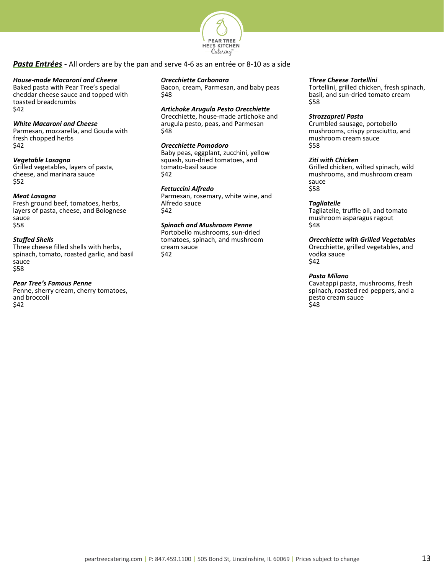

# <span id="page-13-0"></span>*Pasta Entrées* - All orders are by the pan and serve 4-6 as an entrée or 8-10 as a side

#### *House-made Macaroni and Cheese*

Baked pasta with Pear Tree's special cheddar cheese sauce and topped with toasted breadcrumbs \$42

#### *White Macaroni and Cheese*

Parmesan, mozzarella, and Gouda with fresh chopped herbs \$42

#### *Vegetable Lasagna*

Grilled vegetables, layers of pasta, cheese, and marinara sauce \$52

#### *Meat Lasagna*

Fresh ground beef, tomatoes, herbs, layers of pasta, cheese, and Bolognese sauce \$58

#### *Stuffed Shells*

Three cheese filled shells with herbs, spinach, tomato, roasted garlic, and basil sauce \$58

#### *Pear Tree's Famous Penne*

Penne, sherry cream, cherry tomatoes, and broccoli \$42

#### *Orecchiette Carbonara*

Bacon, cream, Parmesan, and baby peas \$48

#### *Artichoke Arugula Pesto Orecchiette*

Orecchiette, house-made artichoke and arugula pesto, peas, and Parmesan \$48

## *Orecchiette Pomodoro*

Baby peas, eggplant, zucchini, yellow squash, sun-dried tomatoes, and tomato-basil sauce \$42

#### *Fettuccini Alfredo*

Parmesan, rosemary, white wine, and Alfredo sauce \$42

# *Spinach and Mushroom Penne*

Portobello mushrooms, sun-dried tomatoes, spinach, and mushroom cream sauce \$42

#### *Three Cheese Tortellini*

Tortellini, grilled chicken, fresh spinach, basil, and sun-dried tomato cream \$58

#### *Strozzapreti Pasta*

Crumbled sausage, portobello mushrooms, crispy prosciutto, and mushroom cream sauce \$58

## *Ziti with Chicken*

Grilled chicken, wilted spinach, wild mushrooms, and mushroom cream sauce \$58

#### *Tagliatelle*

Tagliatelle, truffle oil, and tomato mushroom asparagus ragout \$48

#### *Orecchiette with Grilled Vegetables*

Orecchiette, grilled vegetables, and vodka sauce \$42

#### *Pasta Milano*

Cavatappi pasta, mushrooms, fresh spinach, roasted red peppers, and a pesto cream sauce .<br>\$48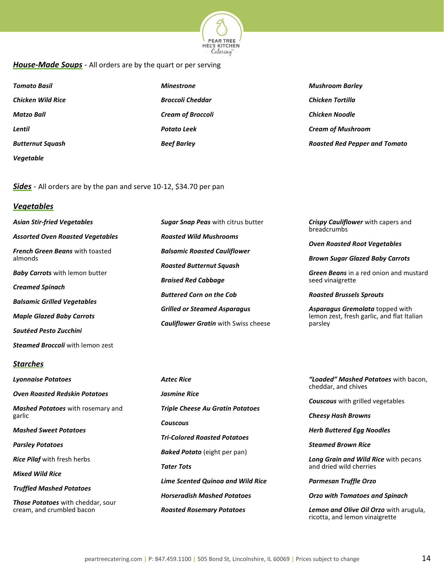

# <span id="page-14-0"></span>*House-Made Soups -* All orders are by the quart or per serving

| <b>Tomato Basil</b>      | <b>Minestrone</b>        | <b>Mushroom Barley</b>               |
|--------------------------|--------------------------|--------------------------------------|
| <b>Chicken Wild Rice</b> | <b>Broccoli Cheddar</b>  | <b>Chicken Tortilla</b>              |
| <b>Matzo Ball</b>        | <b>Cream of Broccoli</b> | <b>Chicken Noodle</b>                |
| Lentil                   | <b>Potato Leek</b>       | <b>Cream of Mushroom</b>             |
| <b>Butternut Squash</b>  | <b>Beef Barley</b>       | <b>Roasted Red Pepper and Tomato</b> |
| <b>Vegetable</b>         |                          |                                      |

<span id="page-14-1"></span>*Sides -* All orders are by the pan and serve 10-12, \$34.70 per pan

# *Vegetables*

| Asian Stir-fried Vegetables             | <b>Sugar Snap Peas</b> with citrus butter   | <b>Crispy Cauliflower</b> with capers and<br><b>breadcrumbs</b>               |
|-----------------------------------------|---------------------------------------------|-------------------------------------------------------------------------------|
| Assorted Oven Roasted Vegetables        | <b>Roasted Wild Mushrooms</b>               |                                                                               |
| <b>French Green Beans</b> with toasted  | <b>Balsamic Roasted Cauliflower</b>         | <b>Oven Roasted Root Vegetables</b>                                           |
| almonds                                 | <b>Roasted Butternut Squash</b>             | <b>Brown Sugar Glazed Baby Carrots</b>                                        |
| <b>Baby Carrots</b> with lemon butter   | <b>Braised Red Cabbage</b>                  | <b>Green Beans</b> in a red onion and mustard<br>seed vinaigrette             |
| Creamed Spinach                         |                                             |                                                                               |
| Balsamic Grilled Vegetables             | <b>Buttered Corn on the Cob</b>             | <b>Roasted Brussels Sprouts</b>                                               |
| <b>Maple Glazed Baby Carrots</b>        | <b>Grilled or Steamed Asparagus</b>         | Asparagus Gremolata topped with<br>lemon zest, fresh garlic, and flat Italian |
|                                         | <b>Cauliflower Gratin with Swiss cheese</b> | parsley                                                                       |
| Sautéed Pesto Zucchini                  |                                             |                                                                               |
| <b>Steamed Broccoli</b> with lemon zest |                                             |                                                                               |
| Starches                                |                                             |                                                                               |
|                                         |                                             |                                                                               |

# *Lyonnaise Potatoes Oven Roasted Redskin Potatoes Mashed Potatoes* with rosemary and garlic *Mashed Sweet Potatoes Parsley Potatoes Rice Pilaf* with fresh herbs *Mixed Wild Rice Truffled Mashed Potatoes Those Potatoes* with cheddar, sour cream, and crumbled bacon

*Aztec Rice Jasmine Rice Triple Cheese Au Gratin Potatoes Couscous Tri-Colored Roasted Potatoes Baked Potato* (eight per pan) *Tater Tots Lime Scented Quinoa and Wild Rice Horseradish Mashed Potatoes Roasted Rosemary Potatoes* 

*"Loaded" Mashed Potatoes* with bacon, cheddar, and chives

*Couscous* with grilled vegetables

*Cheesy Hash Browns*

*Herb Buttered Egg Noodles* 

*Steamed Brown Rice*

*Long Grain and Wild Rice* with pecans and dried wild cherries

*Parmesan Truffle Orzo*

*Orzo with Tomatoes and Spinach*

*Lemon and Olive Oil Orzo* with arugula, ricotta, and lemon vinaigrette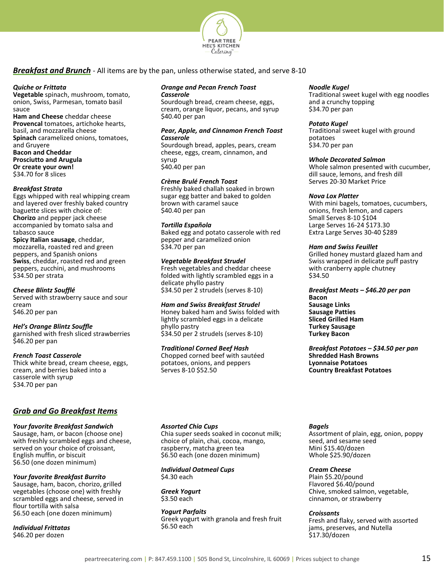

# <span id="page-15-0"></span>*Breakfast and Brunch* - All items are by the pan, unless otherwise stated, and serve 8-10

#### *Quiche or Frittata*

**Vegetable** spinach, mushroom, tomato, onion, Swiss, Parmesan, tomato basil sauce

**Ham and Cheese** cheddar cheese **Provencal** tomatoes, artichoke hearts, basil, and mozzarella cheese **Spinach** caramelized onions, tomatoes, and Gruyere **Bacon and Cheddar Prosciutto and Arugula Or create your own!** \$34.70 for 8 slices

#### *Breakfast Strata*

Eggs whipped with real whipping cream and layered over freshly baked country baguette slices with choice of: **Chorizo** and pepper jack cheese accompanied by tomato salsa and tabasco sauce

**Spicy Italian sausage**, cheddar, mozzarella, roasted red and green peppers, and Spanish onions **Swiss**, cheddar, roasted red and green peppers, zucchini, and mushrooms \$34.50 per strata

# *Cheese Blintz Soufflé*

Served with strawberry sauce and sour cream \$46.20 per pan

# *Hel's Orange Blintz Souffle*

garnished with fresh sliced strawberries \$46.20 per pan

#### *French Toast Casserole*

Thick white bread, cream cheese, eggs, cream, and berries baked into a casserole with syrup \$34.70 per pan

# *Grab and Go Breakfast Items*

# *Your favorite Breakfast Sandwich*

Sausage, ham, or bacon (choose one) with freshly scrambled eggs and cheese, served on your choice of croissant, English muffin, or biscuit \$6.50 (one dozen minimum)

# *Your favorite Breakfast Burrito*

Sausage, ham, bacon, chorizo, grilled vegetables (choose one) with freshly scrambled eggs and cheese, served in flour tortilla with salsa \$6.50 each (one dozen minimum)

*Individual Frittatas* \$46.20 per dozen

# *Orange and Pecan French Toast Casserole*

Sourdough bread, cream cheese, eggs, cream, orange liquor, pecans, and syrup \$40.40 per pan

# *Pear, Apple, and Cinnamon French Toast Casserole*

Sourdough bread, apples, pears, cream cheese, eggs, cream, cinnamon, and syrup \$40.40 per pan

# *Crème Brulé French Toast*

Freshly baked challah soaked in brown sugar egg batter and baked to golden brown with caramel sauce \$40.40 per pan

# *Tortilla Española*

Baked egg and potato casserole with red pepper and caramelized onion \$34.70 per pan

# *Vegetable Breakfast Strudel*

Fresh vegetables and cheddar cheese folded with lightly scrambled eggs in a delicate phyllo pastry \$34.50 per 2 strudels (serves 8-10)

*Ham and Swiss Breakfast Strudel* Honey baked ham and Swiss folded with lightly scrambled eggs in a delicate phyllo pastry \$34.50 per 2 strudels (serves 8-10)

# *Traditional Corned Beef Hash*

Chopped corned beef with sautéed potatoes, onions, and peppers Serves 8-10 \$52.50

# *Noodle Kugel*

Traditional sweet kugel with egg noodles and a crunchy topping \$34.70 per pan

# *Potato Kugel*

Traditional sweet kugel with ground potatoes \$34.70 per pan

# *Whole Decorated Salmon*

Whole salmon presented with cucumber, dill sauce, lemons, and fresh dill Serves 20-30 Market Price

# *Nova Lox Platter*

With mini bagels, tomatoes, cucumbers, onions, fresh lemon, and capers Small Serves 8-10 \$104 Large Serves 16-24 \$173.30 Extra Large Serves 30-40 \$289

# *Ham and Swiss Feuillet*

Grilled honey mustard glazed ham and Swiss wrapped in delicate puff pastry with cranberry apple chutney \$34.50

*Breakfast Meats – \$46.20 per pan* **Bacon Sausage Links Sausage Patties Sliced Grilled Ham Turkey Sausage Turkey Bacon**

*Breakfast Potatoes – \$34.50 per pan* **Shredded Hash Browns Lyonnaise Potatoes Country Breakfast Potatoes**

# *Assorted Chia Cups*

Chia super seeds soaked in coconut milk; choice of plain, chai, cocoa, mango, raspberry, matcha green tea \$6.50 each (one dozen minimum)

*Individual Oatmeal Cups* \$4.30 each

*Greek Yogurt* \$3.50 each

*Yogurt Parfaits* Greek yogurt with granola and fresh fruit \$6.50 each

# *Bagels*

Assortment of plain, egg, onion, poppy seed, and sesame seed Mini \$15.40/dozen Whole \$25.90/dozen

# *Cream Cheese*

Plain \$5.20/pound Flavored \$6.40/pound Chive, smoked salmon, vegetable, cinnamon, or strawberry

# *Croissants*

Fresh and flaky, served with assorted jams, preserves, and Nutella \$17.30/dozen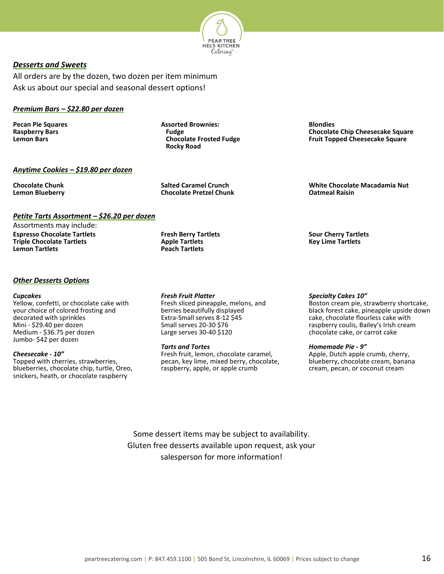

# <span id="page-16-0"></span>*Desserts and Sweets*

All orders are by the dozen, two dozen per item minimum Ask us about our special and seasonal dessert options!

# *Premium Bars – \$22.80 per dozen*

**Pecan Pie Squares Raspberry Bars Lemon Bars**

**Assorted Brownies: Fudge Chocolate Frosted Fudge Rocky Road**

# *Anytime Cookies – \$19.80 per dozen*

**Chocolate Chunk Lemon Blueberry** **Salted Caramel Crunch Chocolate Pretzel Chunk**

# *Petite Tarts Assortment – \$26.20 per dozen*

Assortments may include: **Espresso Chocolate Tartlets Triple Chocolate Tartlets Lemon Tartlets** 

**Fresh Berry Tartlets Apple Tartlets Peach Tartlets** 

# *Other Desserts Options*

#### *Cupcakes*

Yellow, confetti, or chocolate cake with your choice of colored frosting and decorated with sprinkles Mini - \$29.40 per dozen Medium - \$36.75 per dozen Jumbo- \$42 per dozen

#### *Cheesecake - 10"*

Topped with cherries, strawberries, blueberries, chocolate chip, turtle, Oreo, snickers, heath, or chocolate raspberry

*Fresh Fruit Platter*

Fresh sliced pineapple, melons, and berries beautifully displayed Extra-Small serves 8-12 \$45 Small serves 20-30 \$76 Large serves 30-40 \$120

#### *Tarts and Tortes*

Fresh fruit, lemon, chocolate caramel, pecan, key lime, mixed berry, chocolate, raspberry, apple, or apple crumb

**Blondies Chocolate Chip Cheesecake Square Fruit Topped Cheesecake Square**

**White Chocolate Macadamia Nut Oatmeal Raisin**

**Sour Cherry Tartlets Key Lime Tartlets**

#### *Specialty Cakes 10"*

Boston cream pie, strawberry shortcake, black forest cake, pineapple upside down cake, chocolate flourless cake with raspberry coulis, Bailey's Irish cream chocolate cake, or carrot cake

#### *Homemade Pie - 9"*

Apple, Dutch apple crumb, cherry, blueberry, chocolate cream, banana cream, pecan, or coconut cream

Some dessert items may be subject to availability. Gluten free desserts available upon request, ask your salesperson for more information!